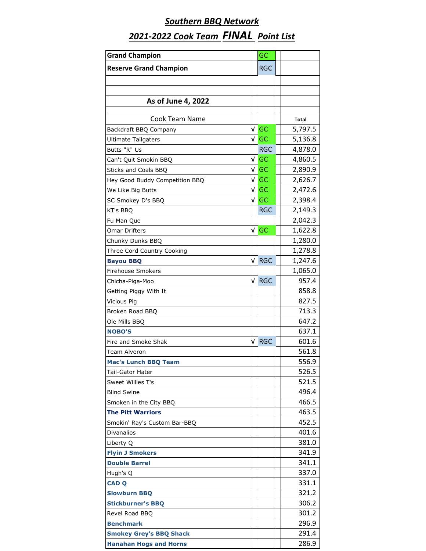| <b>Grand Champion</b>          |     | GC         |         |
|--------------------------------|-----|------------|---------|
| <b>Reserve Grand Champion</b>  |     | <b>RGC</b> |         |
|                                |     |            |         |
|                                |     |            |         |
| As of June 4, 2022             |     |            |         |
|                                |     |            |         |
| Cook Team Name                 |     |            | Total   |
| Backdraft BBQ Company          | v   | GC         | 5,797.5 |
| <b>Ultimate Tailgaters</b>     | v l | GC         | 5,136.8 |
| Butts "R" Us                   |     | <b>RGC</b> | 4,878.0 |
| Can't Quit Smokin BBQ          | V   | GC         | 4,860.5 |
| Sticks and Coals BBQ           | √∣  | GC         | 2,890.9 |
| Hey Good Buddy Competition BBQ | v   | GC         | 2,626.7 |
| We Like Big Butts              | v   | GC         | 2,472.6 |
| SC Smokey D's BBQ              | V   | GC         | 2,398.4 |
| KT's BBQ                       |     | <b>RGC</b> | 2,149.3 |
| Fu Man Que                     |     |            | 2,042.3 |
| Omar Drifters                  |     | $V$ GC     | 1,622.8 |
| Chunky Dunks BBQ               |     |            | 1,280.0 |
| Three Cord Country Cooking     |     |            | 1,278.8 |
| <b>Bayou BBQ</b>               | V   | <b>RGC</b> | 1,247.6 |
| <b>Firehouse Smokers</b>       |     |            | 1,065.0 |
| Chicha-Piga-Moo                | √∣  | <b>RGC</b> | 957.4   |
| Getting Piggy With It          |     |            | 858.8   |
| Vicious Pig                    |     |            | 827.5   |
| Broken Road BBQ                |     |            | 713.3   |
| Ole Mills BBQ                  |     |            | 647.2   |
| <b>NOBO'S</b>                  |     |            | 637.1   |
| Fire and Smoke Shak            | ν   | <b>RGC</b> | 601.6   |
| Team Alveron                   |     |            | 561.8   |
| <b>Mac's Lunch BBQ Team</b>    |     |            | 556.9   |
| Tail-Gator Hater               |     |            | 526.5   |
| Sweet Willies T's              |     |            | 521.5   |
| <b>Blind Swine</b>             |     |            | 496.4   |
| Smoken in the City BBQ         |     |            | 466.5   |
| <b>The Pitt Warriors</b>       |     |            | 463.5   |
| Smokin' Ray's Custom Bar-BBQ   |     |            | 452.5   |
| <b>Divanalios</b>              |     |            | 401.6   |
| Liberty Q                      |     |            | 381.0   |
| <b>Flyin J Smokers</b>         |     |            | 341.9   |
| <b>Double Barrel</b>           |     |            | 341.1   |
| Hugh's Q                       |     |            | 337.0   |
| <b>CAD Q</b>                   |     |            | 331.1   |
| <b>Slowburn BBQ</b>            |     |            | 321.2   |
| <b>Stickburner's BBQ</b>       |     |            | 306.2   |
| Revel Road BBQ                 |     |            | 301.2   |
| <b>Benchmark</b>               |     |            | 296.9   |
| <b>Smokey Grey's BBQ Shack</b> |     |            | 291.4   |
| <b>Hanahan Hogs and Horns</b>  |     |            | 286.9   |
|                                |     |            |         |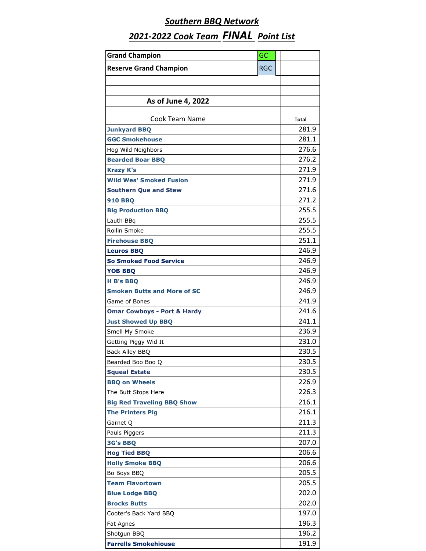| <b>Grand Champion</b>                  | GC         |              |
|----------------------------------------|------------|--------------|
| <b>Reserve Grand Champion</b>          | <b>RGC</b> |              |
|                                        |            |              |
|                                        |            |              |
| As of June 4, 2022                     |            |              |
|                                        |            |              |
| Cook Team Name                         |            | <b>Total</b> |
| <b>Junkyard BBQ</b>                    |            | 281.9        |
| <b>GGC Smokehouse</b>                  |            | 281.1        |
| Hog Wild Neighbors                     |            | 276.6        |
| <b>Bearded Boar BBQ</b>                |            | 276.2        |
| <b>Krazy K's</b>                       |            | 271.9        |
| <b>Wild Wes' Smoked Fusion</b>         |            | 271.9        |
| <b>Southern Que and Stew</b>           |            | 271.6        |
| <b>910 BBO</b>                         |            | 271.2        |
| <b>Big Production BBQ</b>              |            | 255.5        |
| Lauth BBg                              |            | 255.5        |
| Rollin Smoke                           |            | 255.5        |
| <b>Firehouse BBQ</b>                   |            | 251.1        |
| <b>Leuros BBQ</b>                      |            | 246.9        |
| <b>So Smoked Food Service</b>          |            | 246.9        |
| <b>YOB BBQ</b>                         |            | 246.9        |
| <b>H B's BBQ</b>                       |            | 246.9        |
| <b>Smoken Butts and More of SC</b>     |            | 246.9        |
| Game of Bones                          |            | 241.9        |
| <b>Omar Cowboys - Port &amp; Hardy</b> |            | 241.6        |
| <b>Just Showed Up BBQ</b>              |            | 241.1        |
| Smell My Smoke                         |            | 236.9        |
| Getting Piggy Wid It                   |            | 231.0        |
| Back Alley BBQ                         |            | 230.5        |
| Bearded Boo Boo Q                      |            | 230.5        |
| <b>Squeal Estate</b>                   |            | 230.5        |
| <b>BBQ on Wheels</b>                   |            | 226.9        |
| The Butt Stops Here                    |            | 226.3        |
| <b>Big Red Traveling BBQ Show</b>      |            | 216.1        |
| <b>The Printers Pig</b>                |            | 216.1        |
| Garnet O                               |            | 211.3        |
| Pauls Piggers                          |            | 211.3        |
| <b>3G's BBQ</b>                        |            | 207.0        |
| <b>Hog Tied BBQ</b>                    |            | 206.6        |
| <b>Holly Smoke BBQ</b>                 |            | 206.6        |
| Bo Boys BBQ                            |            | 205.5        |
| <b>Team Flavortown</b>                 |            | 205.5        |
| <b>Blue Lodge BBQ</b>                  |            | 202.0        |
| <b>Brocks Butts</b>                    |            | 202.0        |
| Cooter's Back Yard BBQ                 |            | 197.0        |
| Fat Agnes                              |            | 196.3        |
| Shotgun BBQ                            |            | 196.2        |
| <b>Farrells Smokehiouse</b>            |            | 191.9        |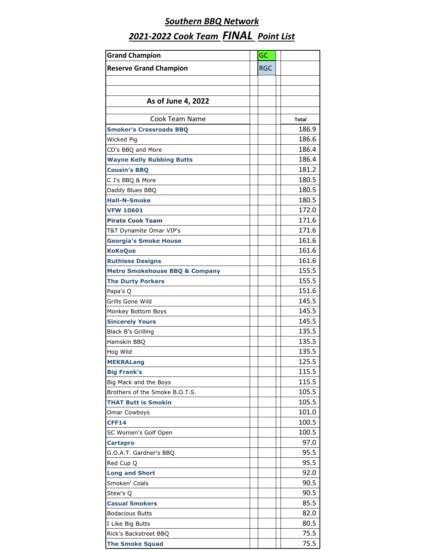| <b>Grand Champion</b>                     | GC         |              |
|-------------------------------------------|------------|--------------|
| <b>Reserve Grand Champion</b>             | <b>RGC</b> |              |
|                                           |            |              |
|                                           |            |              |
|                                           |            |              |
| As of June 4, 2022                        |            |              |
| Cook Team Name                            |            | <b>Total</b> |
| <b>Smoker's Crossroads BBQ</b>            |            | 186.9        |
| Wicked Pig                                |            | 186.6        |
| CD's BBQ and More                         |            | 186.4        |
| <b>Wayne Kelly Rubbing Butts</b>          |            | 186.4        |
| <b>Cousin's BBQ</b>                       |            | 181.2        |
| C J's BBQ & More                          |            | 180.5        |
| Daddy Blues BBQ                           |            | 180.5        |
| <b>Hall-N-Smoke</b>                       |            | 180.5        |
| <b>VFW 10601</b>                          |            | 172.0        |
| <b>Pirate Cook Team</b>                   |            | 171.6        |
| T&T Dynamite Omar VIP's                   |            | 171.6        |
| <b>Georgia's Smoke House</b>              |            | 161.6        |
| <b>KoKoQue</b>                            |            | 161.6        |
| <b>Ruthless Designs</b>                   |            | 161.6        |
| <b>Metro Smokehouse BBQ &amp; Company</b> |            | 155.5        |
| <b>The Durty Porkers</b>                  |            | 155.5        |
| Papa's Q                                  |            | 151.6        |
| Grills Gone Wild                          |            | 145.5        |
| Monkey Bottom Boys                        |            | 145.5        |
| <b>Sincerely Yours</b>                    |            | 145.5        |
| <b>Black B's Grilling</b>                 |            | 135.5        |
| Hamskin BBQ                               |            | 135.5        |
| Hog Wild                                  |            | 135.5        |
| <b>MEKRALang</b>                          |            | 125.5        |
| <b>Big Frank's</b>                        |            | 115.5        |
| Big Mack and the Boys                     |            | 115.5        |
| Brothers of the Smoke B.O.T.S.            |            | 105.5        |
| <b>THAT Butt is Smokin</b>                |            | 105.5        |
| <b>Omar Cowboys</b>                       |            | 101.0        |
| <b>CFF14</b>                              |            | 100.5        |
| SC Women's Golf Open                      |            | 100.5        |
| <b>Cartapro</b>                           |            | 97.0         |
| G.O.A.T. Gardner's BBQ                    |            | 95.5         |
| Red Cup Q                                 |            | 95.5         |
| <b>Long and Short</b>                     |            | 92.0         |
| Smoken' Coals                             |            | 90.5         |
| Stew's Q                                  |            | 90.5         |
| <b>Casual Smokers</b>                     |            | 85.5         |
| <b>Bodacious Butts</b>                    |            | 82.0         |
| I Like Big Butts                          |            | 80.5         |
| Rick's Backstreet BBO                     |            | 75.5         |
| <b>The Smoke Squad</b>                    |            | 75.5         |